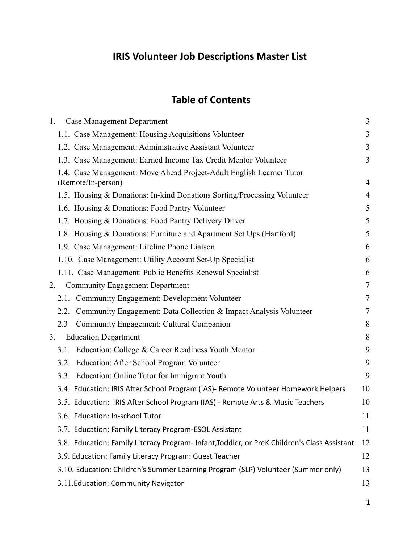# **IRIS Volunteer Job Descriptions Master List**

## **Table of Contents**

| 1. | <b>Case Management Department</b>                                                           | 3     |
|----|---------------------------------------------------------------------------------------------|-------|
|    | 1.1. Case Management: Housing Acquisitions Volunteer                                        | 3     |
|    | 1.2. Case Management: Administrative Assistant Volunteer                                    | 3     |
|    | 1.3. Case Management: Earned Income Tax Credit Mentor Volunteer                             | 3     |
|    | 1.4. Case Management: Move Ahead Project-Adult English Learner Tutor                        |       |
|    | (Remote/In-person)                                                                          | 4     |
|    | 1.5. Housing & Donations: In-kind Donations Sorting/Processing Volunteer                    | 4     |
|    | 1.6. Housing & Donations: Food Pantry Volunteer                                             | 5     |
|    | 1.7. Housing & Donations: Food Pantry Delivery Driver                                       | 5     |
|    | 1.8. Housing & Donations: Furniture and Apartment Set Ups (Hartford)                        | 5     |
|    | 1.9. Case Management: Lifeline Phone Liaison                                                | 6     |
|    | 1.10. Case Management: Utility Account Set-Up Specialist                                    | 6     |
|    | 1.11. Case Management: Public Benefits Renewal Specialist                                   | 6     |
| 2. | <b>Community Engagement Department</b>                                                      | 7     |
|    | 2.1. Community Engagement: Development Volunteer                                            | 7     |
|    | 2.2. Community Engagement: Data Collection & Impact Analysis Volunteer                      | 7     |
|    | Community Engagement: Cultural Companion<br>2.3                                             | 8     |
| 3. | <b>Education Department</b>                                                                 | $8\,$ |
|    | Education: College & Career Readiness Youth Mentor<br>3.1.                                  | 9     |
|    | 3.2. Education: After School Program Volunteer                                              | 9     |
|    | 3.3. Education: Online Tutor for Immigrant Youth                                            | 9     |
|    | 3.4. Education: IRIS After School Program (IAS)- Remote Volunteer Homework Helpers          | 10    |
|    | 3.5. Education: IRIS After School Program (IAS) - Remote Arts & Music Teachers              | 10    |
|    | 3.6. Education: In-school Tutor                                                             | 11    |
|    | 3.7. Education: Family Literacy Program-ESOL Assistant                                      | 11    |
|    | 3.8. Education: Family Literacy Program-Infant, Toddler, or PreK Children's Class Assistant | 12    |
|    | 3.9. Education: Family Literacy Program: Guest Teacher                                      | 12    |
|    | 3.10. Education: Children's Summer Learning Program (SLP) Volunteer (Summer only)           | 13    |
|    | 3.11. Education: Community Navigator                                                        | 13    |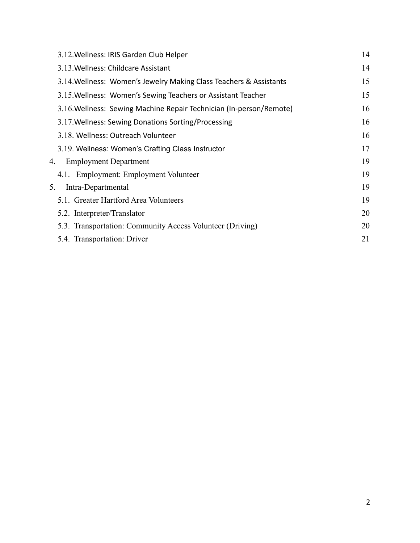| 3.12. Wellness: IRIS Garden Club Helper                             | 14 |
|---------------------------------------------------------------------|----|
| 3.13. Wellness: Childcare Assistant                                 | 14 |
| 3.14. Wellness: Women's Jewelry Making Class Teachers & Assistants  | 15 |
| 3.15. Wellness: Women's Sewing Teachers or Assistant Teacher        | 15 |
| 3.16. Wellness: Sewing Machine Repair Technician (In-person/Remote) | 16 |
| 3.17. Wellness: Sewing Donations Sorting/Processing                 | 16 |
| 3.18. Wellness: Outreach Volunteer                                  | 16 |
| 3.19. Wellness: Women's Crafting Class Instructor                   | 17 |
| <b>Employment Department</b><br>4.                                  | 19 |
| 4.1. Employment: Employment Volunteer                               | 19 |
| Intra-Departmental<br>5.                                            | 19 |
| 5.1. Greater Hartford Area Volunteers                               | 19 |
| 5.2. Interpreter/Translator                                         | 20 |
| 5.3. Transportation: Community Access Volunteer (Driving)           | 20 |
| 5.4. Transportation: Driver                                         | 21 |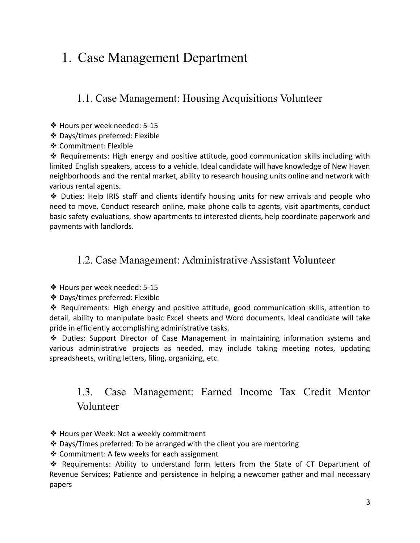## <span id="page-2-0"></span>1. Case Management Department

<span id="page-2-1"></span>1.1. Case Management: Housing Acquisitions Volunteer

- ❖ Hours per week needed: 5-15
- ❖ Days/times preferred: Flexible
- ❖ Commitment: Flexible

❖ Requirements: High energy and positive attitude, good communication skills including with limited English speakers, access to a vehicle. Ideal candidate will have knowledge of New Haven neighborhoods and the rental market, ability to research housing units online and network with various rental agents.

❖ Duties: Help IRIS staff and clients identify housing units for new arrivals and people who need to move. Conduct research online, make phone calls to agents, visit apartments, conduct basic safety evaluations, show apartments to interested clients, help coordinate paperwork and payments with landlords.

#### <span id="page-2-2"></span>1.2. Case Management: Administrative Assistant Volunteer

❖ Hours per week needed: 5-15

❖ Days/times preferred: Flexible

❖ Requirements: High energy and positive attitude, good communication skills, attention to detail, ability to manipulate basic Excel sheets and Word documents. Ideal candidate will take pride in efficiently accomplishing administrative tasks.

❖ Duties: Support Director of Case Management in maintaining information systems and various administrative projects as needed, may include taking meeting notes, updating spreadsheets, writing letters, filing, organizing, etc.

### <span id="page-2-3"></span>1.3. Case Management: Earned Income Tax Credit Mentor Volunteer

- ❖ Hours per Week: Not a weekly commitment
- ❖ Days/Times preferred: To be arranged with the client you are mentoring
- ❖ Commitment: A few weeks for each assignment

❖ Requirements: Ability to understand form letters from the State of CT Department of Revenue Services; Patience and persistence in helping a newcomer gather and mail necessary papers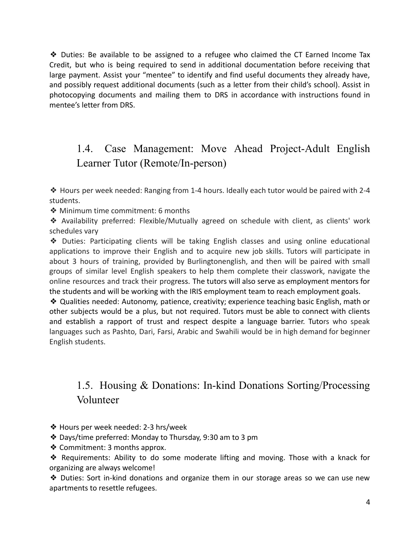❖ Duties: Be available to be assigned to a refugee who claimed the CT Earned Income Tax Credit, but who is being required to send in additional documentation before receiving that large payment. Assist your "mentee" to identify and find useful documents they already have, and possibly request additional documents (such as a letter from their child's school). Assist in photocopying documents and mailing them to DRS in accordance with instructions found in mentee's letter from DRS.

### <span id="page-3-0"></span>1.4. Case Management: Move Ahead Project-Adult English Learner Tutor (Remote/In-person)

❖ Hours per week needed: Ranging from 1-4 hours. Ideally each tutor would be paired with 2-4 students.

❖ Minimum time commitment: 6 months

❖ Availability preferred: Flexible/Mutually agreed on schedule with client, as clients' work schedules vary

❖ Duties: Participating clients will be taking English classes and using online educational applications to improve their English and to acquire new job skills. Tutors will participate in about 3 hours of training, provided by Burlingtonenglish, and then will be paired with small groups of similar level English speakers to help them complete their classwork, navigate the online resources and track their progress. The tutors will also serve as employment mentors for the students and will be working with the IRIS employment team to reach employment goals.

❖ Qualities needed: Autonomy, patience, creativity; experience teaching basic English, math or other subjects would be a plus, but not required. Tutors must be able to connect with clients and establish a rapport of trust and respect despite a language barrier. Tutors who speak languages such as Pashto, Dari, Farsi, Arabic and Swahili would be in high demand for beginner English students.

### 1.5. Housing & Donations: In-kind Donations Sorting/Processing Volunteer

- <span id="page-3-1"></span>❖ Hours per week needed: 2-3 hrs/week
- ❖ Days/time preferred: Monday to Thursday, 9:30 am to 3 pm
- ❖ Commitment: 3 months approx.

❖ Requirements: Ability to do some moderate lifting and moving. Those with a knack for organizing are always welcome!

❖ Duties: Sort in-kind donations and organize them in our storage areas so we can use new apartments to resettle refugees.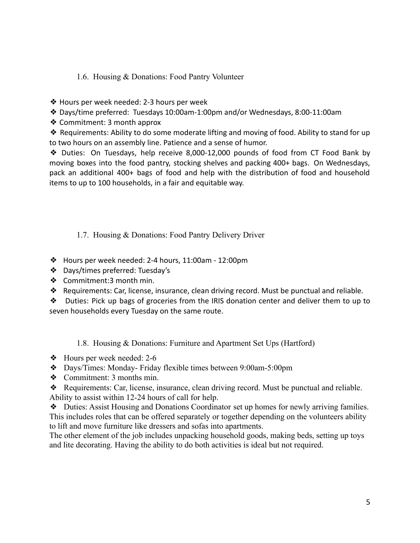#### <span id="page-4-0"></span>1.6. Housing & Donations: Food Pantry Volunteer

- ❖ Hours per week needed: 2-3 hours per week
- ❖ Days/time preferred: Tuesdays 10:00am-1:00pm and/or Wednesdays, 8:00-11:00am
- ❖ Commitment: 3 month approx

❖ Requirements: Ability to do some moderate lifting and moving of food. Ability to stand for up to two hours on an assembly line. Patience and a sense of humor.

❖ Duties: On Tuesdays, help receive 8,000-12,000 pounds of food from CT Food Bank by moving boxes into the food pantry, stocking shelves and packing 400+ bags. On Wednesdays, pack an additional 400+ bags of food and help with the distribution of food and household items to up to 100 households, in a fair and equitable way.

<span id="page-4-1"></span>1.7. Housing & Donations: Food Pantry Delivery Driver

- ❖ Hours per week needed: 2-4 hours, 11:00am 12:00pm
- ❖ Days/times preferred: Tuesday's
- ❖ Commitment:3 month min.
- ❖ Requirements: Car, license, insurance, clean driving record. Must be punctual and reliable.

❖ Duties: Pick up bags of groceries from the IRIS donation center and deliver them to up to seven households every Tuesday on the same route.

1.8. Housing & Donations: Furniture and Apartment Set Ups (Hartford)

- <span id="page-4-2"></span>❖ Hours per week needed: 2-6
- ❖ Days/Times: Monday- Friday flexible times between 9:00am-5:00pm
- ❖ Commitment: 3 months min.

❖ Requirements: Car, license, insurance, clean driving record. Must be punctual and reliable. Ability to assist within 12-24 hours of call for help.

❖ Duties: Assist Housing and Donations Coordinator set up homes for newly arriving families. This includes roles that can be offered separately or together depending on the volunteers ability to lift and move furniture like dressers and sofas into apartments.

The other element of the job includes unpacking household goods, making beds, setting up toys and lite decorating. Having the ability to do both activities is ideal but not required.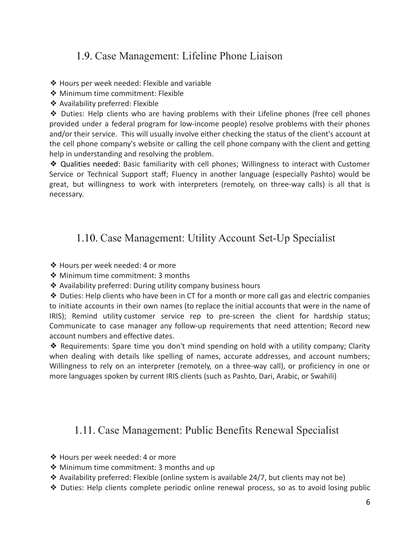### <span id="page-5-0"></span>1.9. Case Management: Lifeline Phone Liaison

❖ Hours per week needed: Flexible and variable

- ❖ Minimum time commitment: Flexible
- ❖ Availability preferred: Flexible

❖ Duties: Help clients who are having problems with their Lifeline phones (free cell phones provided under a federal program for low-income people) resolve problems with their phones and/or their service. This will usually involve either checking the status of the client's account at the cell phone company's website or calling the cell phone company with the client and getting help in understanding and resolving the problem.

❖ Qualities needed: Basic familiarity with cell phones; Willingness to interact with Customer Service or Technical Support staff; Fluency in another language (especially Pashto) would be great, but willingness to work with interpreters (remotely, on three-way calls) is all that is necessary.

### <span id="page-5-1"></span>1.10. Case Management: Utility Account Set-Up Specialist

- ❖ Hours per week needed: 4 or more
- ❖ Minimum time commitment: 3 months
- ❖ Availability preferred: During utility company business hours

❖ Duties: Help clients who have been in CT for a month or more call gas and electric companies to initiate accounts in their own names (to replace the initial accounts that were in the name of IRIS); Remind utility customer service rep to pre-screen the client for hardship status; Communicate to case manager any follow-up requirements that need attention; Record new account numbers and effective dates.

❖ Requirements: Spare time you don't mind spending on hold with a utility company; Clarity when dealing with details like spelling of names, accurate addresses, and account numbers; Willingness to rely on an interpreter (remotely, on a three-way call), or proficiency in one or more languages spoken by current IRIS clients (such as Pashto, Dari, Arabic, or Swahili)

#### <span id="page-5-2"></span>1.11. Case Management: Public Benefits Renewal Specialist

- ❖ Hours per week needed: 4 or more
- ❖ Minimum time commitment: 3 months and up
- ❖ Availability preferred: Flexible (online system is available 24/7, but clients may not be)
- ❖ Duties: Help clients complete periodic online renewal process, so as to avoid losing public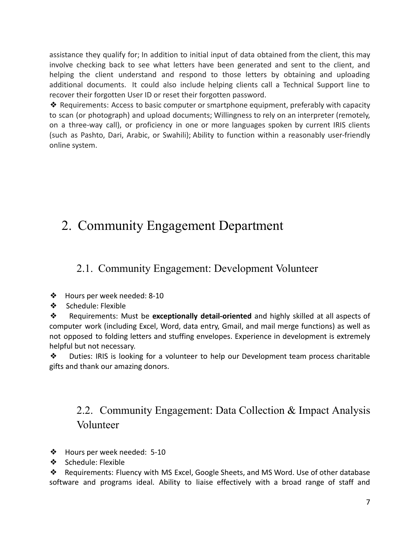assistance they qualify for; In addition to initial input of data obtained from the client, this may involve checking back to see what letters have been generated and sent to the client, and helping the client understand and respond to those letters by obtaining and uploading additional documents. It could also include helping clients call a Technical Support line to recover their forgotten User ID or reset their forgotten password.

❖ Requirements: Access to basic computer or smartphone equipment, preferably with capacity to scan (or photograph) and upload documents; Willingness to rely on an interpreter (remotely, on a three-way call), or proficiency in one or more languages spoken by current IRIS clients (such as Pashto, Dari, Arabic, or Swahili); Ability to function within a reasonably user-friendly online system.

# <span id="page-6-0"></span>2. Community Engagement Department

#### <span id="page-6-1"></span>2.1. Community Engagement: Development Volunteer

- ❖ Hours per week needed: 8-10
- ❖ Schedule: Flexible

❖ Requirements: Must be **exceptionally detail-oriented** and highly skilled at all aspects of computer work (including Excel, Word, data entry, Gmail, and mail merge functions) as well as not opposed to folding letters and stuffing envelopes. Experience in development is extremely helpful but not necessary.

❖ Duties: IRIS is looking for a volunteer to help our Development team process charitable gifts and thank our amazing donors.

### 2.2. Community Engagement: Data Collection & Impact Analysis Volunteer

- <span id="page-6-2"></span>❖ Hours per week needed: 5-10
- ❖ Schedule: Flexible

❖ Requirements: Fluency with MS Excel, Google Sheets, and MS Word. Use of other database software and programs ideal. Ability to liaise effectively with a broad range of staff and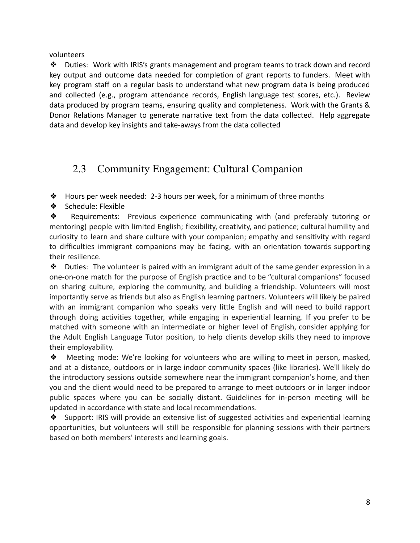volunteers

❖ Duties: Work with IRIS's grants management and program teams to track down and record key output and outcome data needed for completion of grant reports to funders. Meet with key program staff on a regular basis to understand what new program data is being produced and collected (e.g., program attendance records, English language test scores, etc.). Review data produced by program teams, ensuring quality and completeness. Work with the Grants & Donor Relations Manager to generate narrative text from the data collected. Help aggregate data and develop key insights and take-aways from the data collected

### <span id="page-7-0"></span>2.3 Community Engagement: Cultural Companion

 $\triangleleft$  Hours per week needed: 2-3 hours per week, for a minimum of three months

❖ Schedule: Flexible

❖ Requirements: Previous experience communicating with (and preferably tutoring or mentoring) people with limited English; flexibility, creativity, and patience; cultural humility and curiosity to learn and share culture with your companion; empathy and sensitivity with regard to difficulties immigrant companions may be facing, with an orientation towards supporting their resilience.

 $\clubsuit$  Duties: The volunteer is paired with an immigrant adult of the same gender expression in a one-on-one match for the purpose of English practice and to be "cultural companions" focused on sharing culture, exploring the community, and building a friendship. Volunteers will most importantly serve as friends but also as English learning partners. Volunteers will likely be paired with an immigrant companion who speaks very little English and will need to build rapport through doing activities together, while engaging in experiential learning. If you prefer to be matched with someone with an intermediate or higher level of English, consider applying for the Adult English Language Tutor position, to help clients develop skills they need to improve their employability.

❖ Meeting mode: We're looking for volunteers who are willing to meet in person, masked, and at a distance, outdoors or in large indoor community spaces (like libraries). We'll likely do the introductory sessions outside somewhere near the immigrant companion's home, and then you and the client would need to be prepared to arrange to meet outdoors or in larger indoor public spaces where you can be socially distant. Guidelines for in-person meeting will be updated in accordance with state and local recommendations.

❖ Support: IRIS will provide an extensive list of suggested activities and experiential learning opportunities, but volunteers will still be responsible for planning sessions with their partners based on both members' interests and learning goals.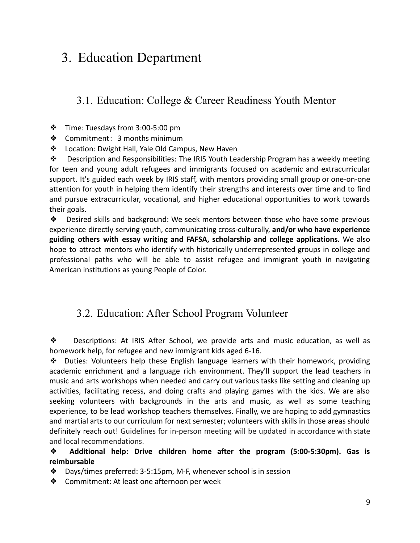## <span id="page-8-0"></span>3. Education Department

### <span id="page-8-1"></span>3.1. Education: College & Career Readiness Youth Mentor

- ❖ Time: Tuesdays from 3:00-5:00 pm
- ❖ Commitment: 3 months minimum
- ❖ Location: Dwight Hall, Yale Old Campus, New Haven

❖ Description and Responsibilities: The IRIS Youth Leadership Program has a weekly meeting for teen and young adult refugees and immigrants focused on academic and extracurricular support. It's guided each week by IRIS staff, with mentors providing small group or one-on-one attention for youth in helping them identify their strengths and interests over time and to find and pursue extracurricular, vocational, and higher educational opportunities to work towards their goals.

❖ Desired skills and background: We seek mentors between those who have some previous experience directly serving youth, communicating cross-culturally, **and/or who have experience guiding others with essay writing and FAFSA, scholarship and college applications.** We also hope to attract mentors who identify with historically underrepresented groups in college and professional paths who will be able to assist refugee and immigrant youth in navigating American institutions as young People of Color.

#### <span id="page-8-2"></span>3.2. Education: After School Program Volunteer

❖ Descriptions: At IRIS After School, we provide arts and music education, as well as homework help, for refugee and new immigrant kids aged 6-16.

❖ Duties: Volunteers help these English language learners with their homework, providing academic enrichment and a language rich environment. They'll support the lead teachers in music and arts workshops when needed and carry out various tasks like setting and cleaning up activities, facilitating recess, and doing crafts and playing games with the kids. We are also seeking volunteers with backgrounds in the arts and music, as well as some teaching experience, to be lead workshop teachers themselves. Finally, we are hoping to add gymnastics and martial arts to our curriculum for next semester; volunteers with skills in those areas should definitely reach out! Guidelines for in-person meeting will be updated in accordance with state and local recommendations.

❖ **Additional help: Drive children home after the program (5:00-5:30pm). Gas is reimbursable**

- ❖ Days/times preferred: 3-5:15pm, M-F, whenever school is in session
- ❖ Commitment: At least one afternoon per week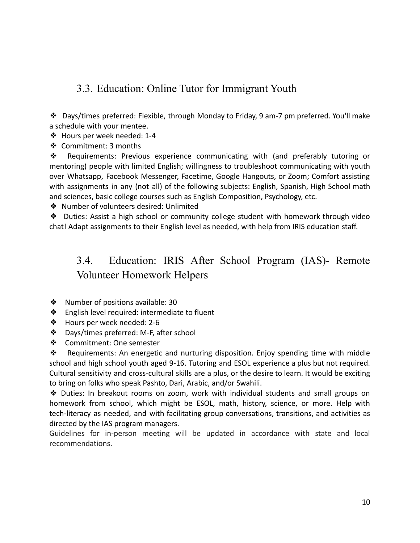### <span id="page-9-0"></span>3.3. Education: Online Tutor for Immigrant Youth

❖ Days/times preferred: Flexible, through Monday to Friday, 9 am-7 pm preferred. You'll make a schedule with your mentee.

❖ Hours per week needed: 1-4

❖ Commitment: 3 months

❖ Requirements: Previous experience communicating with (and preferably tutoring or mentoring) people with limited English; willingness to troubleshoot communicating with youth over Whatsapp, Facebook Messenger, Facetime, Google Hangouts, or Zoom; Comfort assisting with assignments in any (not all) of the following subjects: English, Spanish, High School math and sciences, basic college courses such as English Composition, Psychology, etc.

❖ Number of volunteers desired: Unlimited

❖ Duties: Assist a high school or community college student with homework through video chat! Adapt assignments to their English level as needed, with help from IRIS education staff.

### <span id="page-9-1"></span>3.4. Education: IRIS After School Program (IAS)- Remote Volunteer Homework Helpers

- ❖ Number of positions available: 30
- ❖ English level required: intermediate to fluent
- ❖ Hours per week needed: 2-6
- ❖ Days/times preferred: M-F, after school
- ❖ Commitment: One semester

❖ Requirements: An energetic and nurturing disposition. Enjoy spending time with middle school and high school youth aged 9-16. Tutoring and ESOL experience a plus but not required. Cultural sensitivity and cross-cultural skills are a plus, or the desire to learn. It would be exciting to bring on folks who speak Pashto, Dari, Arabic, and/or Swahili.

❖ Duties: In breakout rooms on zoom, work with individual students and small groups on homework from school, which might be ESOL, math, history, science, or more. Help with tech-literacy as needed, and with facilitating group conversations, transitions, and activities as directed by the IAS program managers.

Guidelines for in-person meeting will be updated in accordance with state and local recommendations.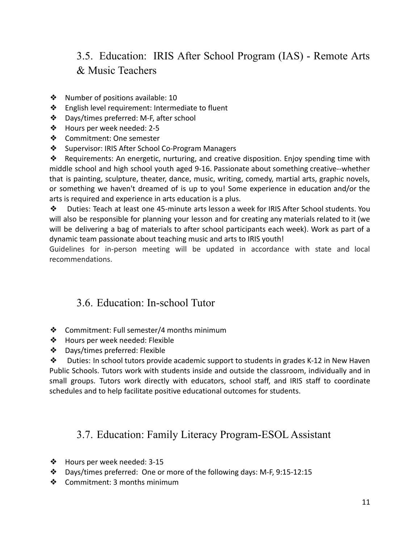### 3.5. Education: IRIS After School Program (IAS) - Remote Arts & Music Teachers

- <span id="page-10-0"></span>❖ Number of positions available: 10
- ❖ English level requirement: Intermediate to fluent
- ❖ Days/times preferred: M-F, after school
- ❖ Hours per week needed: 2-5
- ❖ Commitment: One semester
- ❖ Supervisor: IRIS After School Co-Program Managers

❖ Requirements: An energetic, nurturing, and creative disposition. Enjoy spending time with middle school and high school youth aged 9-16. Passionate about something creative--whether that is painting, sculpture, theater, dance, music, writing, comedy, martial arts, graphic novels, or something we haven't dreamed of is up to you! Some experience in education and/or the arts is required and experience in arts education is a plus.

❖ Duties: Teach at least one 45-minute arts lesson a week for IRIS After School students. You will also be responsible for planning your lesson and for creating any materials related to it (we will be delivering a bag of materials to after school participants each week). Work as part of a dynamic team passionate about teaching music and arts to IRIS youth!

Guidelines for in-person meeting will be updated in accordance with state and local recommendations.

#### <span id="page-10-1"></span>3.6. Education: In-school Tutor

- ❖ Commitment: Full semester/4 months minimum
- ❖ Hours per week needed: Flexible
- ❖ Days/times preferred: Flexible

❖ Duties: In school tutors provide academic support to students in grades K-12 in New Haven Public Schools. Tutors work with students inside and outside the classroom, individually and in small groups. Tutors work directly with educators, school staff, and IRIS staff to coordinate schedules and to help facilitate positive educational outcomes for students.

#### <span id="page-10-2"></span>3.7. Education: Family Literacy Program-ESOL Assistant

- ❖ Hours per week needed: 3-15
- ❖ Days/times preferred: One or more of the following days: M-F, 9:15-12:15
- ❖ Commitment: 3 months minimum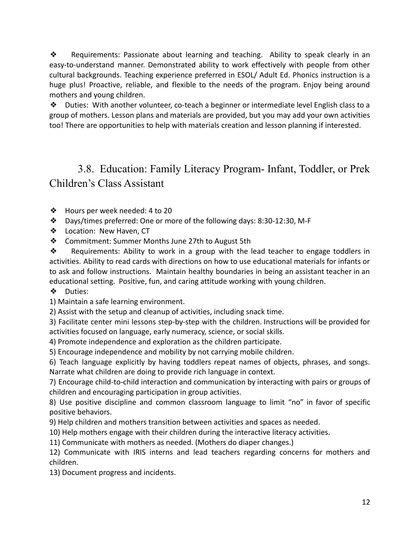❖ Requirements: Passionate about learning and teaching. Ability to speak clearly in an easy-to-understand manner. Demonstrated ability to work effectively with people from other cultural backgrounds. Teaching experience preferred in ESOL/ Adult Ed. Phonics instruction is a huge plus! Proactive, reliable, and flexible to the needs of the program. Enjoy being around mothers and young children.

❖ Duties: With another volunteer, co-teach a beginner or intermediate level English class to a group of mothers. Lesson plans and materials are provided, but you may add your own activities too! There are opportunities to help with materials creation and lesson planning if interested.

### <span id="page-11-0"></span>3.8. Education: Family Literacy Program- Infant, Toddler, or Prek Children's Class Assistant

- ❖ Hours per week needed: 4 to 20
- ❖ Days/times preferred: One or more of the following days: 8:30-12:30, M-F
- ❖ Location: New Haven, CT
- ❖ Commitment: Summer Months June 27th to August 5th

❖ Requirements: Ability to work in a group with the lead teacher to engage toddlers in activities. Ability to read cards with directions on how to use educational materials for infants or to ask and follow instructions. Maintain healthy boundaries in being an assistant teacher in an educational setting. Positive, fun, and caring attitude working with young children.

❖ Duties:

1) Maintain a safe learning environment.

2) Assist with the setup and cleanup of activities, including snack time.

3) Facilitate center mini lessons step-by-step with the children. Instructions will be provided for activities focused on language, early numeracy, science, or social skills.

4) Promote independence and exploration as the children participate.

5) Encourage independence and mobility by not carrying mobile children.

6) Teach language explicitly by having toddlers repeat names of objects, phrases, and songs. Narrate what children are doing to provide rich language in context.

7) Encourage child-to-child interaction and communication by interacting with pairs or groups of children and encouraging participation in group activities.

8) Use positive discipline and common classroom language to limit "no" in favor of specific positive behaviors.

9) Help children and mothers transition between activities and spaces as needed.

10) Help mothers engage with their children during the interactive literacy activities.

11) Communicate with mothers as needed. (Mothers do diaper changes.)

12) Communicate with IRIS interns and lead teachers regarding concerns for mothers and children.

13) Document progress and incidents.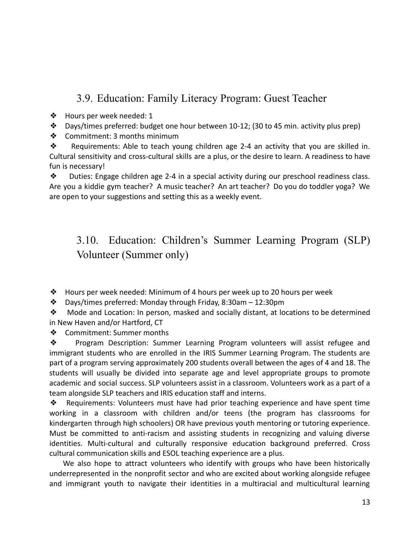### 3.9. Education: Family Literacy Program: Guest Teacher

- ❖ Hours per week needed: 1
- ❖ Days/times preferred: budget one hour between 10-12; (30 to 45 min. activity plus prep)
- ❖ Commitment: 3 months minimum

❖ Requirements: Able to teach young children age 2-4 an activity that you are skilled in. Cultural sensitivity and cross-cultural skills are a plus, or the desire to learn. A readiness to have fun is necessary!

❖ Duties: Engage children age 2-4 in a special activity during our preschool readiness class. Are you a kiddie gym teacher? A music teacher? An art teacher? Do you do toddler yoga? We are open to your suggestions and setting this as a weekly event.

### <span id="page-12-0"></span>3.10. Education: Children's Summer Learning Program (SLP) Volunteer (Summer only)

❖ Hours per week needed: Minimum of 4 hours per week up to 20 hours per week

❖ Days/times preferred: Monday through Friday, 8:30am – 12:30pm

❖ Mode and Location: In person, masked and socially distant, at locations to be determined in New Haven and/or Hartford, CT

❖ Commitment: Summer months

❖ Program Description: Summer Learning Program volunteers will assist refugee and immigrant students who are enrolled in the IRIS Summer Learning Program. The students are part of a program serving approximately 200 students overall between the ages of 4 and 18. The students will usually be divided into separate age and level appropriate groups to promote academic and social success. SLP volunteers assist in a classroom. Volunteers work as a part of a team alongside SLP teachers and IRIS education staff and interns.

❖ Requirements: Volunteers must have had prior teaching experience and have spent time working in a classroom with children and/or teens (the program has classrooms for kindergarten through high schoolers) OR have previous youth mentoring or tutoring experience. Must be committed to anti-racism and assisting students in recognizing and valuing diverse identities. Multi-cultural and culturally responsive education background preferred. Cross cultural communication skills and ESOL teaching experience are a plus.

We also hope to attract volunteers who identify with groups who have been historically underrepresented in the nonprofit sector and who are excited about working alongside refugee and immigrant youth to navigate their identities in a multiracial and multicultural learning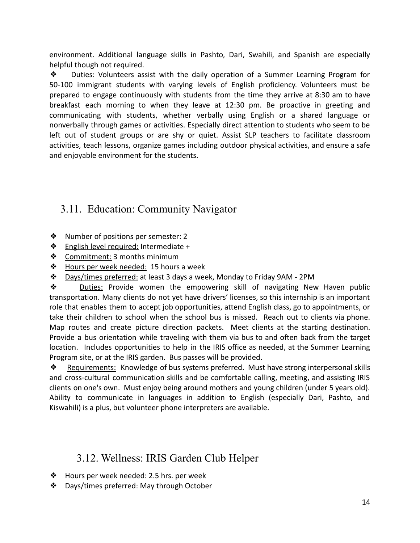environment. Additional language skills in Pashto, Dari, Swahili, and Spanish are especially helpful though not required.

❖ Duties: Volunteers assist with the daily operation of a Summer Learning Program for 50-100 immigrant students with varying levels of English proficiency. Volunteers must be prepared to engage continuously with students from the time they arrive at 8:30 am to have breakfast each morning to when they leave at 12:30 pm. Be proactive in greeting and communicating with students, whether verbally using English or a shared language or nonverbally through games or activities. Especially direct attention to students who seem to be left out of student groups or are shy or quiet. Assist SLP teachers to facilitate classroom activities, teach lessons, organize games including outdoor physical activities, and ensure a safe and enjoyable environment for the students.

### <span id="page-13-0"></span>3.11. Education: Community Navigator

- ❖ Number of positions per semester: 2
- ❖ English level required: Intermediate +
- ❖ Commitment: 3 months minimum
- **❖** Hours per week needed: 15 hours a week
- ❖ Days/times preferred: at least 3 days a week, Monday to Friday 9AM 2PM

❖ Duties: Provide women the empowering skill of navigating New Haven public transportation. Many clients do not yet have drivers' licenses, so this internship is an important role that enables them to accept job opportunities, attend English class, go to appointments, or take their children to school when the school bus is missed. Reach out to clients via phone. Map routes and create picture direction packets. Meet clients at the starting destination. Provide a bus orientation while traveling with them via bus to and often back from the target location. Includes opportunities to help in the IRIS office as needed, at the Summer Learning Program site, or at the IRIS garden. Bus passes will be provided.

◆ Requirements: Knowledge of bus systems preferred. Must have strong interpersonal skills and cross-cultural communication skills and be comfortable calling, meeting, and assisting IRIS clients on one's own. Must enjoy being around mothers and young children (under 5 years old). Ability to communicate in languages in addition to English (especially Dari, Pashto, and Kiswahili) is a plus, but volunteer phone interpreters are available.

#### 3.12. Wellness: IRIS Garden Club Helper

- ❖ Hours per week needed: 2.5 hrs. per week
- ❖ Days/times preferred: May through October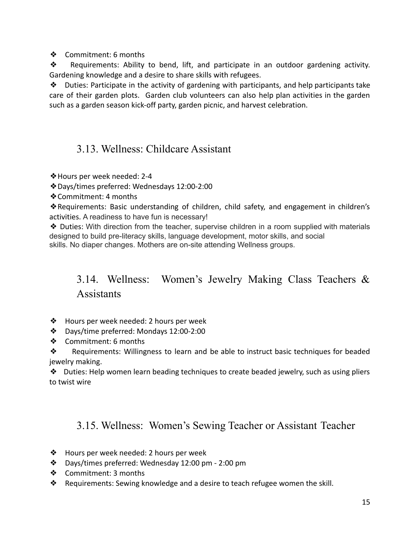❖ Commitment: 6 months

❖ Requirements: Ability to bend, lift, and participate in an outdoor gardening activity. Gardening knowledge and a desire to share skills with refugees.

 $\triangle$  Duties: Participate in the activity of gardening with participants, and help participants take care of their garden plots. Garden club volunteers can also help plan activities in the garden such as a garden season kick-off party, garden picnic, and harvest celebration.

### <span id="page-14-0"></span>3.13. Wellness: Childcare Assistant

❖Hours per week needed: 2-4

❖Days/times preferred: Wednesdays 12:00-2:00

❖Commitment: 4 months

❖Requirements: Basic understanding of children, child safety, and engagement in children's activities. A readiness to have fun is necessary!

❖ Duties: With direction from the teacher, supervise children in a room supplied with materials designed to build pre-literacy skills, language development, motor skills, and social skills. No diaper changes. Mothers are on-site attending Wellness groups.

### 3.14. Wellness: Women's Jewelry Making Class Teachers & **Assistants**

- <span id="page-14-1"></span>❖ Hours per week needed: 2 hours per week
- ❖ Days/time preferred: Mondays 12:00-2:00
- ❖ Commitment: 6 months

❖ Requirements: Willingness to learn and be able to instruct basic techniques for beaded jewelry making.

❖ Duties: Help women learn beading techniques to create beaded jewelry, such as using pliers to twist wire

#### <span id="page-14-2"></span>3.15. Wellness: [Women's](https://docs.google.com/document/d/1ZKH9v8_zqzPGp3xx34WWqYEocHXQamEPIEGcoAp9QAU/edit?ts=608c23bf#heading=h.z0s3ow6rmodr) Sewing Teacher or Assistant Teacher

- ❖ Hours per week needed: 2 hours per week
- ❖ Days/times preferred: Wednesday 12:00 pm 2:00 pm
- ❖ Commitment: 3 months
- ❖ Requirements: Sewing knowledge and a desire to teach refugee women the skill.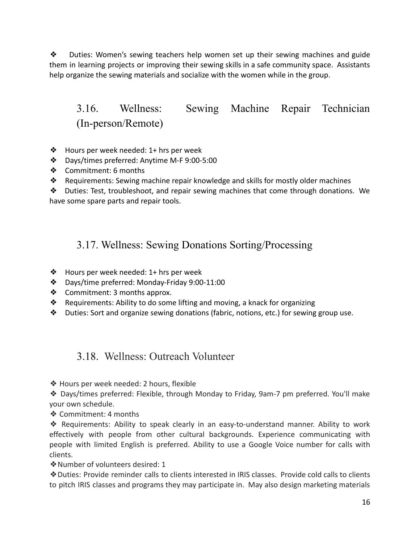❖ Duties: Women's sewing teachers help women set up their sewing machines and guide them in learning projects or improving their sewing skills in a safe community space. Assistants help organize the sewing materials and socialize with the women while in the group.

### 3.16. Wellness: Sewing Machine Repair [Technician](https://docs.google.com/document/d/1ZKH9v8_zqzPGp3xx34WWqYEocHXQamEPIEGcoAp9QAU/edit?ts=608c23bf#heading=h.q6u1e8exg1bb) (In-person/Remote)

- <span id="page-15-0"></span>❖ Hours per week needed: 1+ hrs per week
- ❖ Days/times preferred: Anytime M-F 9:00-5:00
- ❖ Commitment: 6 months
- ❖ Requirements: Sewing machine repair knowledge and skills for mostly older machines

❖ Duties: Test, troubleshoot, and repair sewing machines that come through donations. We have some spare parts and repair tools.

#### <span id="page-15-1"></span>3.17. Wellness: Sewing Donations [Sorting/Processing](https://docs.google.com/document/d/1ZKH9v8_zqzPGp3xx34WWqYEocHXQamEPIEGcoAp9QAU/edit?ts=608c23bf#heading=h.5xktyghjym1o)

- ❖ Hours per week needed: 1+ hrs per week
- ❖ Days/time preferred: Monday-Friday 9:00-11:00
- ❖ Commitment: 3 months approx.
- ❖ Requirements: Ability to do some lifting and moving, a knack for organizing
- <span id="page-15-2"></span>❖ Duties: Sort and organize sewing donations (fabric, notions, etc.) for sewing group use.

#### 3.18. Wellness: Outreach Volunteer

❖ Hours per week needed: 2 hours, flexible

❖ Days/times preferred: Flexible, through Monday to Friday, 9am-7 pm preferred. You'll make your own schedule.

❖ Commitment: 4 months

❖ Requirements: Ability to speak clearly in an easy-to-understand manner. Ability to work effectively with people from other cultural backgrounds. Experience communicating with people with limited English is preferred. Ability to use a Google Voice number for calls with clients.

❖Number of volunteers desired: 1

❖Duties: Provide reminder calls to clients interested in IRIS classes. Provide cold calls to clients to pitch IRIS classes and programs they may participate in. May also design marketing materials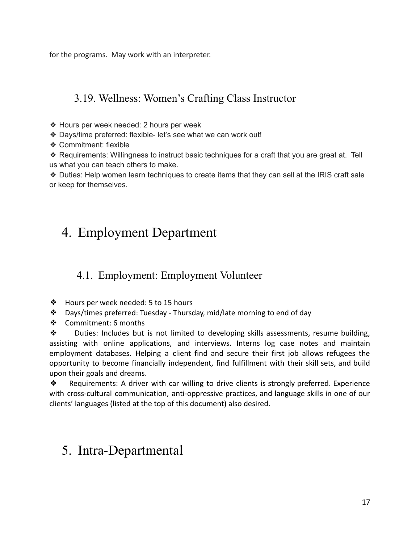for the programs. May work with an interpreter.

### <span id="page-16-0"></span>3.19. Wellness: Women's Crafting Class Instructor

- ❖ Hours per week needed: 2 hours per week
- ❖ Days/time preferred: flexible- let's see what we can work out!
- ❖ Commitment: flexible
- ❖ Requirements: Willingness to instruct basic techniques for a craft that you are great at. Tell us what you can teach others to make.

❖ Duties: Help women learn techniques to create items that they can sell at the IRIS craft sale or keep for themselves.

## <span id="page-16-1"></span>4. Employment Department

#### <span id="page-16-2"></span>4.1. Employment: Employment Volunteer

- ❖ Hours per week needed: 5 to 15 hours
- ❖ Days/times preferred: Tuesday Thursday, mid/late morning to end of day
- ❖ Commitment: 6 months

❖ Duties: Includes but is not limited to developing skills assessments, resume building, assisting with online applications, and interviews. Interns log case notes and maintain employment databases. Helping a client find and secure their first job allows refugees the opportunity to become financially independent, find fulfillment with their skill sets, and build upon their goals and dreams.

❖ Requirements: A driver with car willing to drive clients is strongly preferred. Experience with cross-cultural communication, anti-oppressive practices, and language skills in one of our clients' languages (listed at the top of this document) also desired.

## <span id="page-16-3"></span>5. Intra-Departmental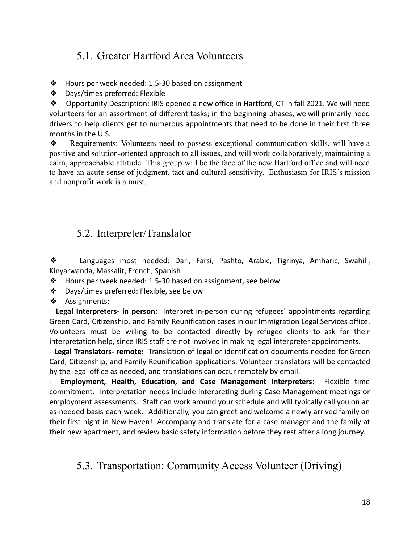### <span id="page-17-0"></span>5.1. Greater Hartford Area Volunteers

- ❖ Hours per week needed: 1.5-30 based on assignment
- ❖ Days/times preferred: Flexible

❖ Opportunity Description: IRIS opened a new office in Hartford, CT in fall 2021. We will need volunteers for an assortment of different tasks; in the beginning phases, we will primarily need drivers to help clients get to numerous appointments that need to be done in their first three months in the U.S.

❖ Requirements: Volunteers need to possess exceptional communication skills, will have a positive and solution-oriented approach to all issues, and will work collaboratively, maintaining a calm, approachable attitude. This group will be the face of the new Hartford office and will need to have an acute sense of judgment, tact and cultural sensitivity. Enthusiasm for IRIS's mission and nonprofit work is a must.

### <span id="page-17-1"></span>5.2. Interpreter/Translator

❖ Languages most needed: Dari, Farsi, Pashto, Arabic, Tigrinya, Amharic, Swahili, Kinyarwanda, Massalit, French, Spanish

- ❖ Hours per week needed: 1.5-30 based on assignment, see below
- ❖ Days/times preferred: Flexible, see below
- ❖ Assignments:

· **Legal Interpreters- in person:** Interpret in-person during refugees' appointments regarding Green Card, Citizenship, and Family Reunification cases in our Immigration Legal Services office. Volunteers must be willing to be contacted directly by refugee clients to ask for their interpretation help, since IRIS staff are not involved in making legal interpreter appointments.

· **Legal Translators- remote:** Translation of legal or identification documents needed for Green Card, Citizenship, and Family Reunification applications. Volunteer translators will be contacted by the legal office as needed, and translations can occur remotely by email.

· **Employment, Health, Education, and Case Management Interpreters**: Flexible time commitment. Interpretation needs include interpreting during Case Management meetings or employment assessments. Staff can work around your schedule and will typically call you on an as-needed basis each week. Additionally, you can greet and welcome a newly arrived family on their first night in New Haven! Accompany and translate for a case manager and the family at their new apartment, and review basic safety information before they rest after a long journey.

### <span id="page-17-2"></span>5.3. Transportation: Community Access Volunteer (Driving)